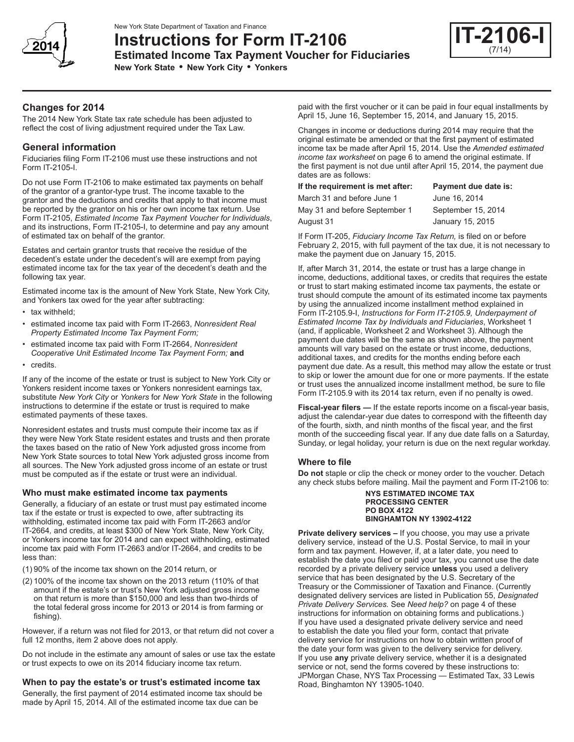

New York State Department of Taxation and Finance

**Instructions for Form IT-2106 Estimated Income Tax Payment Voucher for Fiduciaries**

**New York State • New York City • Yonkers**



# **Changes for 2014**

The 2014 New York State tax rate schedule has been adjusted to reflect the cost of living adjustment required under the Tax Law.

# **General information**

Fiduciaries filing Form IT-2106 must use these instructions and not Form IT-2105-I.

Do not use Form IT-2106 to make estimated tax payments on behalf of the grantor of a grantor-type trust. The income taxable to the grantor and the deductions and credits that apply to that income must be reported by the grantor on his or her own income tax return. Use Form IT-2105, *Estimated Income Tax Payment Voucher for Individuals*, and its instructions, Form IT-2105-I, to determine and pay any amount of estimated tax on behalf of the grantor.

Estates and certain grantor trusts that receive the residue of the decedent's estate under the decedent's will are exempt from paying estimated income tax for the tax year of the decedent's death and the following tax year.

Estimated income tax is the amount of New York State, New York City, and Yonkers tax owed for the year after subtracting:

- tax withheld;
- estimated income tax paid with Form IT-2663, *Nonresident Real Property Estimated Income Tax Payment Form;*
- estimated income tax paid with Form IT-2664, *Nonresident Cooperative Unit Estimated Income Tax Payment Form;* **and**
- credits.

If any of the income of the estate or trust is subject to New York City or Yonkers resident income taxes or Yonkers nonresident earnings tax, substitute *New York City* or *Yonkers* for *New York State* in the following instructions to determine if the estate or trust is required to make estimated payments of these taxes.

Nonresident estates and trusts must compute their income tax as if they were New York State resident estates and trusts and then prorate the taxes based on the ratio of New York adjusted gross income from New York State sources to total New York adjusted gross income from all sources. The New York adjusted gross income of an estate or trust must be computed as if the estate or trust were an individual.

## **Who must make estimated income tax payments**

Generally, a fiduciary of an estate or trust must pay estimated income tax if the estate or trust is expected to owe, after subtracting its withholding, estimated income tax paid with Form IT‑2663 and/or IT-2664*,* and credits, at least \$300 of New York State, New York City, or Yonkers income tax for 2014 and can expect withholding, estimated income tax paid with Form IT‑2663 and/or IT-2664, and credits to be less than:

- (1) 90% of the income tax shown on the 2014 return, or
- (2) 100% of the income tax shown on the 2013 return (110% of that amount if the estate's or trust's New York adjusted gross income on that return is more than \$150,000 and less than two-thirds of the total federal gross income for 2013 or 2014 is from farming or fishing).

However, if a return was not filed for 2013, or that return did not cover a full 12 months, item 2 above does not apply.

Do not include in the estimate any amount of sales or use tax the estate or trust expects to owe on its 2014 fiduciary income tax return.

## **When to pay the estate's or trust's estimated income tax**

Generally, the first payment of 2014 estimated income tax should be made by April 15, 2014. All of the estimated income tax due can be

paid with the first voucher or it can be paid in four equal installments by April 15, June 16, September 15, 2014, and January 15, 2015.

Changes in income or deductions during 2014 may require that the original estimate be amended or that the first payment of estimated income tax be made after April 15, 2014. Use the *Amended estimated income tax worksheet* on page 6 to amend the original estimate. If the first payment is not due until after April 15, 2014, the payment due dates are as follows:

# **If the requirement is met after: Payment due date is:**

March 31 and before June 1 May 31 and before September 1

August 31

| <b>Payment due date is</b> |
|----------------------------|
| June 16, 2014              |
| September 15, 2014         |
| January 15, 2015           |
|                            |

If Form IT-205, *Fiduciary Income Tax Return,* is filed on or before February 2, 2015, with full payment of the tax due, it is not necessary to make the payment due on January 15, 2015.

If, after March 31, 2014, the estate or trust has a large change in income, deductions, additional taxes, or credits that requires the estate or trust to start making estimated income tax payments, the estate or trust should compute the amount of its estimated income tax payments by using the annualized income installment method explained in Form IT-2105.9-I, *Instructions for Form IT‑2105.9, Underpayment of Estimated Income Tax by Individuals and Fiduciaries*, Worksheet 1 (and, if applicable, Worksheet 2 and Worksheet 3). Although the payment due dates will be the same as shown above, the payment amounts will vary based on the estate or trust income, deductions, additional taxes, and credits for the months ending before each payment due date. As a result, this method may allow the estate or trust to skip or lower the amount due for one or more payments. If the estate or trust uses the annualized income installment method, be sure to file Form IT‑2105.9 with its 2014 tax return, even if no penalty is owed.

**Fiscal-year filers —** If the estate reports income on a fiscal-year basis, adjust the calendar‑year due dates to correspond with the fifteenth day of the fourth, sixth, and ninth months of the fiscal year, and the first month of the succeeding fiscal year. If any due date falls on a Saturday, Sunday, or legal holiday, your return is due on the next regular workday.

## **Where to file**

**Do not** staple or clip the check or money order to the voucher. Detach any check stubs before mailing. Mail the payment and Form IT-2106 to:

#### **NYS ESTIMATED INCOME TAX PROCESSING CENTER PO BOX 4122 BINGHAMTON NY 13902-4122**

**Private delivery services –** If you choose, you may use a private delivery service, instead of the U.S. Postal Service, to mail in your form and tax payment. However, if, at a later date, you need to establish the date you filed or paid your tax, you cannot use the date recorded by a private delivery service **unless** you used a delivery service that has been designated by the U.S. Secretary of the Treasury or the Commissioner of Taxation and Finance. (Currently designated delivery services are listed in Publication 55, *Designated Private Delivery Services.* See *Need help?* on page 4 of these instructions for information on obtaining forms and publications.) If you have used a designated private delivery service and need to establish the date you filed your form, contact that private delivery service for instructions on how to obtain written proof of the date your form was given to the delivery service for delivery. If you use **any** private delivery service, whether it is a designated service or not, send the forms covered by these instructions to: JPMorgan Chase, NYS Tax Processing — Estimated Tax, 33 Lewis Road, Binghamton NY 13905-1040.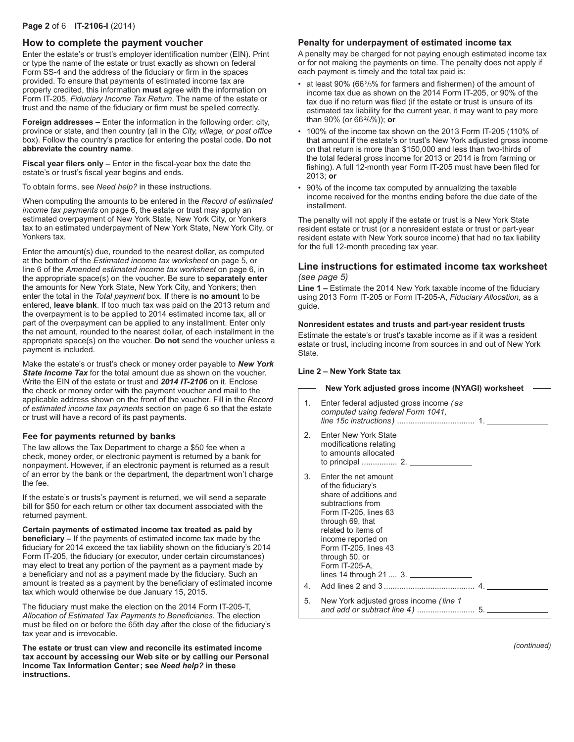# **Page 2** of 6 **IT-2106-I** (2014)

## **How to complete the payment voucher**

Enter the estate's or trust's employer identification number (EIN). Print or type the name of the estate or trust exactly as shown on federal Form SS-4 and the address of the fiduciary or firm in the spaces provided. To ensure that payments of estimated income tax are properly credited, this information **must** agree with the information on Form IT-205, *Fiduciary Income Tax Return*. The name of the estate or trust and the name of the fiduciary or firm must be spelled correctly.

**Foreign addresses –** Enter the information in the following order: city, province or state, and then country (all in the *City, village, or post office* box). Follow the country's practice for entering the postal code. **Do not abbreviate the country name**.

**Fiscal year filers only –** Enter in the fiscal-year box the date the estate's or trust's fiscal year begins and ends.

To obtain forms, see *Need help?* in these instructions.

When computing the amounts to be entered in the *Record of estimated income tax payments* on page 6, the estate or trust may apply an estimated overpayment of New York State, New York City, or Yonkers tax to an estimated underpayment of New York State, New York City, or Yonkers tax.

Enter the amount(s) due, rounded to the nearest dollar, as computed at the bottom of the *Estimated income tax worksheet* on page 5, or line 6 of the *Amended estimated income tax worksheet* on page 6, in the appropriate space(s) on the voucher. Be sure to **separately enter** the amounts for New York State, New York City, and Yonkers; then enter the total in the *Total payment* box. If there is **no amount** to be entered, **leave blank**. If too much tax was paid on the 2013 return and the overpayment is to be applied to 2014 estimated income tax, all or part of the overpayment can be applied to any installment. Enter only the net amount, rounded to the nearest dollar, of each installment in the appropriate space(s) on the voucher. **Do not** send the voucher unless a payment is included.

Make the estate's or trust's check or money order payable to *New York State Income Tax* for the total amount due as shown on the voucher. Write the EIN of the estate or trust and *2014 IT‑2106* on it. Enclose the check or money order with the payment voucher and mail to the applicable address shown on the front of the voucher. Fill in the *Record of estimated income tax payments* section on page 6 so that the estate or trust will have a record of its past payments.

#### **Fee for payments returned by banks**

The law allows the Tax Department to charge a \$50 fee when a check, money order, or electronic payment is returned by a bank for nonpayment. However, if an electronic payment is returned as a result of an error by the bank or the department, the department won't charge the fee.

If the estate's or trusts's payment is returned, we will send a separate bill for \$50 for each return or other tax document associated with the returned payment.

**Certain payments of estimated income tax treated as paid by beneficiary –** If the payments of estimated income tax made by the fiduciary for 2014 exceed the tax liability shown on the fiduciary's 2014 Form IT-205, the fiduciary (or executor, under certain circumstances) may elect to treat any portion of the payment as a payment made by a beneficiary and not as a payment made by the fiduciary. Such an amount is treated as a payment by the beneficiary of estimated income tax which would otherwise be due January 15, 2015.

The fiduciary must make the election on the 2014 Form IT-205-T, *Allocation of Estimated Tax Payments to Beneficiaries.* The election must be filed on or before the 65th day after the close of the fiduciary's tax year and is irrevocable.

**The estate or trust can view and reconcile its estimated income tax account by accessing our Web site or by calling our Personal Income Tax Information Center; see** *Need help?* **in these instructions.**

#### **Penalty for underpayment of estimated income tax**

A penalty may be charged for not paying enough estimated income tax or for not making the payments on time. The penalty does not apply if each payment is timely and the total tax paid is:

- at least 90% (66 $\frac{2}{3}$ % for farmers and fishermen) of the amount of income tax due as shown on the 2014 Form IT-205, or 90% of the tax due if no return was filed (if the estate or trust is unsure of its estimated tax liability for the current year, it may want to pay more than 90% (or 66<sup>2</sup> /3%)); **or**
- 100% of the income tax shown on the 2013 Form IT-205 (110% of that amount if the estate's or trust's New York adjusted gross income on that return is more than \$150,000 and less than two‑thirds of the total federal gross income for 2013 or 2014 is from farming or fishing). A full 12‑month year Form IT-205 must have been filed for 2013; **or**
- 90% of the income tax computed by annualizing the taxable income received for the months ending before the due date of the installment.

The penalty will not apply if the estate or trust is a New York State resident estate or trust (or a nonresident estate or trust or part-year resident estate with New York source income) that had no tax liability for the full 12-month preceding tax year.

## **Line instructions for estimated income tax worksheet**  *(see page 5)*

**Line 1 –** Estimate the 2014 New York taxable income of the fiduciary using 2013 Form IT-205 or Form IT-205-A, *Fiduciary Allocation*, as a guide.

## **Nonresident estates and trusts and part-year resident trusts**

Estimate the estate's or trust's taxable income as if it was a resident estate or trust, including income from sources in and out of New York State.

#### **Line 2 – New York State tax**

|         | New York adjusted gross income (NYAGI) worksheet                                                                                                                                                                                                                             |  |
|---------|------------------------------------------------------------------------------------------------------------------------------------------------------------------------------------------------------------------------------------------------------------------------------|--|
| $1_{-}$ | Enter federal adjusted gross income (as<br>computed using federal Form 1041,                                                                                                                                                                                                 |  |
| 2.      | <b>Enter New York State</b><br>modifications relating<br>to amounts allocated                                                                                                                                                                                                |  |
| 3.      | Enter the net amount<br>of the fiduciary's<br>share of additions and<br>subtractions from<br>Form IT-205, lines 63<br>through 69, that<br>related to items of<br>income reported on<br>Form IT-205, lines 43<br>through 50, or<br>Form IT-205-A.<br>lines 14 through $213$ . |  |
| 4.      |                                                                                                                                                                                                                                                                              |  |
| 5.      | New York adjusted gross income (line 1                                                                                                                                                                                                                                       |  |

*(continued)*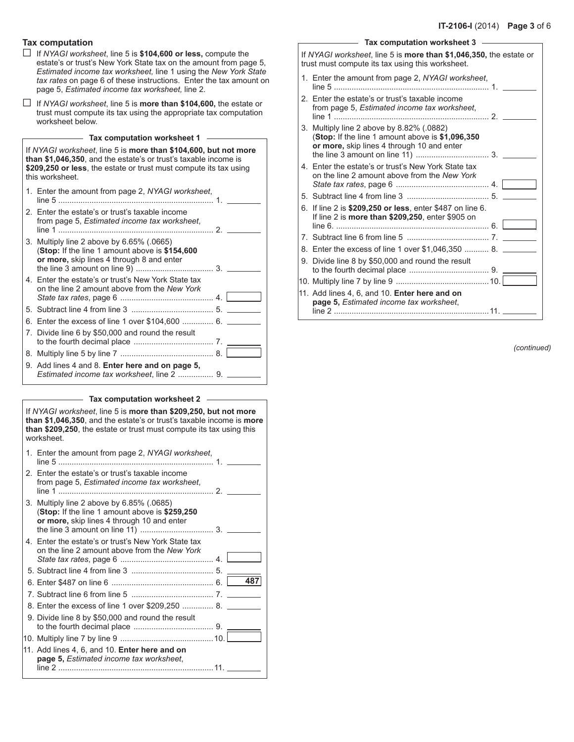## **Tax computation**

- G If *NYAGI worksheet*, line 5 is **\$104,600 or less,** compute the estate's or trust's New York State tax on the amount from page 5, *Estimated income tax worksheet,* line 1 using the *New York State tax rates* on page 6 of these instructions. Enter the tax amount on page 5, *Estimated income tax worksheet,* line 2.
- G If *NYAGI worksheet*, line 5 is **more than \$104,600,** the estate or trust must compute its tax using the appropriate tax computation worksheet below.

| Tax computation worksheet 1 |  |
|-----------------------------|--|
|-----------------------------|--|

If *NYAGI worksheet*, line 5 is **more than \$104,600, but not more than \$1,046,350**, and the estate's or trust's taxable income is **\$209,250 or less**, the estate or trust must compute its tax using this worksheet.

| 1. Enter the amount from page 2, NYAGI worksheet,                                                                                        |  |
|------------------------------------------------------------------------------------------------------------------------------------------|--|
| 2. Enter the estate's or trust's taxable income<br>from page 5, Estimated income tax worksheet,                                          |  |
| 3. Multiply line 2 above by 6.65% (.0665)<br>(Stop: If the line 1 amount above is \$154,600<br>or more, skip lines 4 through 8 and enter |  |
| 4. Enter the estate's or trust's New York State tax<br>on the line 2 amount above from the New York                                      |  |
|                                                                                                                                          |  |
| 6. Enter the excess of line 1 over \$104,600  6. ________                                                                                |  |
| 7. Divide line 6 by \$50,000 and round the result                                                                                        |  |
|                                                                                                                                          |  |
| 9. Add lines 4 and 8. Enter here and on page 5,<br>Estimated income tax worksheet, line 2  9.                                            |  |

#### **Tax computation worksheet 2**

| If NYAGI worksheet, line 5 is more than \$209,250, but not more<br>than \$1,046,350, and the estate's or trust's taxable income is more<br>than \$209,250, the estate or trust must compute its tax using this<br>worksheet |  |  |  |  |  |  |  |
|-----------------------------------------------------------------------------------------------------------------------------------------------------------------------------------------------------------------------------|--|--|--|--|--|--|--|
| 1. Enter the amount from page 2, NYAGI worksheet,                                                                                                                                                                           |  |  |  |  |  |  |  |
| 2. Enter the estate's or trust's taxable income<br>from page 5, Estimated income tax worksheet,                                                                                                                             |  |  |  |  |  |  |  |
| 3. Multiply line 2 above by 6.85% (.0685)<br>(Stop: If the line 1 amount above is \$259,250)<br>or more, skip lines 4 through 10 and enter                                                                                  |  |  |  |  |  |  |  |
| 4. Enter the estate's or trust's New York State tax<br>on the line 2 amount above from the New York                                                                                                                         |  |  |  |  |  |  |  |
|                                                                                                                                                                                                                             |  |  |  |  |  |  |  |
|                                                                                                                                                                                                                             |  |  |  |  |  |  |  |
|                                                                                                                                                                                                                             |  |  |  |  |  |  |  |
| 8. Enter the excess of line 1 over \$209,250  8.                                                                                                                                                                            |  |  |  |  |  |  |  |
| 9. Divide line 8 by \$50,000 and round the result                                                                                                                                                                           |  |  |  |  |  |  |  |
|                                                                                                                                                                                                                             |  |  |  |  |  |  |  |
| 11. Add lines 4, 6, and 10. Enter here and on<br>page 5, Estimated income tax worksheet,                                                                                                                                    |  |  |  |  |  |  |  |

|    | If NYAGI worksheet, line 5 is more than \$1,046,350, the estate or<br>trust must compute its tax using this worksheet.                       |  |
|----|----------------------------------------------------------------------------------------------------------------------------------------------|--|
|    | 1. Enter the amount from page 2, NYAGI worksheet,                                                                                            |  |
|    | 2. Enter the estate's or trust's taxable income<br>from page 5, Estimated income tax worksheet,                                              |  |
|    | 3. Multiply line 2 above by 8.82% (.0882)<br>(Stop: If the line 1 amount above is \$1,096,350)<br>or more, skip lines 4 through 10 and enter |  |
|    | 4. Enter the estate's or trust's New York State tax<br>on the line 2 amount above from the New York                                          |  |
|    |                                                                                                                                              |  |
|    | 6. If line 2 is \$209,250 or less, enter \$487 on line 6.<br>If line 2 is <b>more than \$209,250</b> , enter \$905 on                        |  |
|    |                                                                                                                                              |  |
|    | 8. Enter the excess of line 1 over \$1,046,350  8.                                                                                           |  |
| 9. | Divide line 8 by \$50,000 and round the result                                                                                               |  |
|    |                                                                                                                                              |  |
|    | 11. Add lines 4, 6, and 10. Enter here and on<br>page 5, Estimated income tax worksheet,                                                     |  |
|    |                                                                                                                                              |  |

**Tax computation worksheet 3**

 $\Gamma$ 

*(continued)*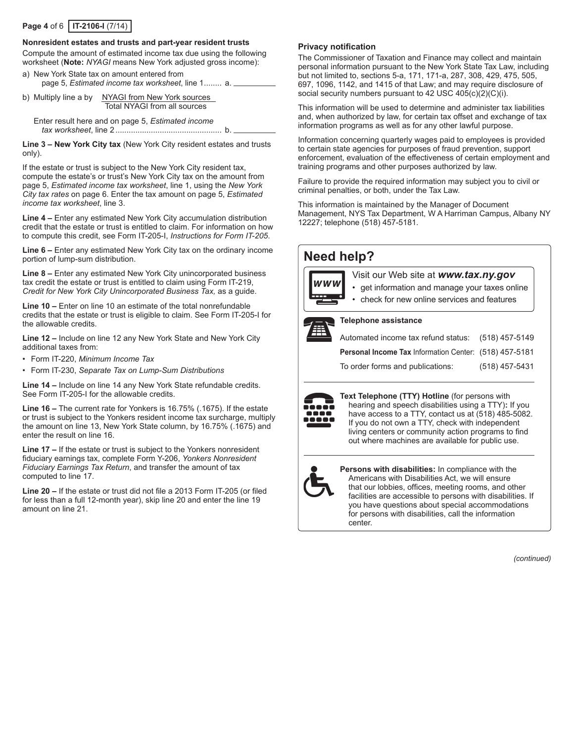# **Page 4** of 6 **IT-2106-I** (7/14)

#### **Nonresident estates and trusts and part-year resident trusts**

Compute the amount of estimated income tax due using the following worksheet (**Note:** *NYAGI* means New York adjusted gross income): a) New York State tax on amount entered from

- page 5, *Estimated income tax worksheet*, line 1........ a.
- b) Multiply line a by NYAGI from New York sources Total NYAGI from all sources

Enter result here and on page 5, *Estimated income tax worksheet*, line 2 ................................................ b.

**Line 3 – New York City tax** (New York City resident estates and trusts only).

If the estate or trust is subject to the New York City resident tax, compute the estate's or trust's New York City tax on the amount from page 5, *Estimated income tax worksheet*, line 1, using the *New York City tax rates* on page 6. Enter the tax amount on page 5, *Estimated income tax worksheet*, line 3.

**Line 4 –** Enter any estimated New York City accumulation distribution credit that the estate or trust is entitled to claim. For information on how to compute this credit, see Form IT-205-I, *Instructions for Form IT-205*.

**Line 6 –** Enter any estimated New York City tax on the ordinary income portion of lump-sum distribution.

**Line 8 –** Enter any estimated New York City unincorporated business tax credit the estate or trust is entitled to claim using Form IT-219, *Credit for New York City Unincorporated Business Tax,* as a guide.

**Line 10 –** Enter on line 10 an estimate of the total nonrefundable credits that the estate or trust is eligible to claim. See Form IT-205-I for the allowable credits.

**Line 12 –** Include on line 12 any New York State and New York City additional taxes from:

- Form IT-220, *Minimum Income Tax*
- Form IT-230, *Separate Tax on Lump-Sum Distributions*

**Line 14 –** Include on line 14 any New York State refundable credits. See Form IT-205-I for the allowable credits.

**Line 16 –** The current rate for Yonkers is 16.75% (.1675). If the estate or trust is subject to the Yonkers resident income tax surcharge, multiply the amount on line 13, New York State column, by 16.75% (.1675) and enter the result on line 16.

**Line 17 –** If the estate or trust is subject to the Yonkers nonresident fiduciary earnings tax, complete Form Y-206, *Yonkers Nonresident Fiduciary Earnings Tax Return*, and transfer the amount of tax computed to line 17.

**Line 20 –** If the estate or trust did not file a 2013 Form IT-205 (or filed for less than a full 12-month year), skip line 20 and enter the line 19 amount on line 21.

#### **Privacy notification**

The Commissioner of Taxation and Finance may collect and maintain personal information pursuant to the New York State Tax Law, including but not limited to, sections 5-a, 171, 171-a, 287, 308, 429, 475, 505, 697, 1096, 1142, and 1415 of that Law; and may require disclosure of social security numbers pursuant to 42 USC 405(c)(2)(C)(i).

This information will be used to determine and administer tax liabilities and, when authorized by law, for certain tax offset and exchange of tax information programs as well as for any other lawful purpose.

Information concerning quarterly wages paid to employees is provided to certain state agencies for purposes of fraud prevention, support enforcement, evaluation of the effectiveness of certain employment and training programs and other purposes authorized by law.

Failure to provide the required information may subject you to civil or criminal penalties, or both, under the Tax Law.

This information is maintained by the Manager of Document Management, NYS Tax Department, W A Harriman Campus, Albany NY 12227; telephone (518) 457-5181.

# **Need help?** Visit our Web site at *www.tax.ny.gov*

• get information and manage your taxes online

• check for new online services and features



#### **Telephone assistance**

Automated income tax refund status: (518) 457-5149 **Personal Income Tax** Information Center: (518) 457-5181 To order forms and publications: (518) 457-5431



**Text Telephone (TTY) Hotline** (for persons with hearing and speech disabilities using a TTY)**:** If you have access to a TTY, contact us at (518) 485-5082. If you do not own a TTY, check with independent living centers or community action programs to find out where machines are available for public use.



**Persons with disabilities:** In compliance with the Americans with Disabilities Act, we will ensure that our lobbies, offices, meeting rooms, and other facilities are accessible to persons with disabilities. If you have questions about special accommodations for persons with disabilities, call the information center.

*(continued)*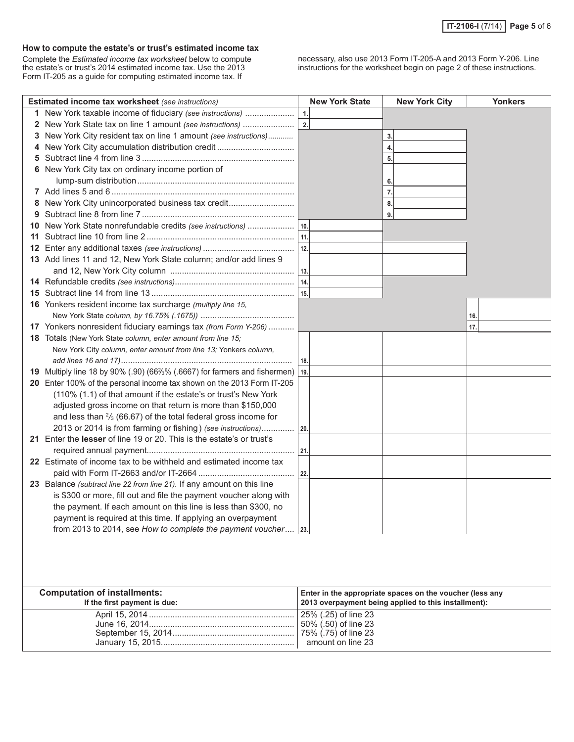# **How to compute the estate's or trust's estimated income tax**

Complete the *Estimated income tax worksheet* below to compute the estate's or trust's 2014 estimated income tax. Use the 2013 Form IT-205 as a guide for computing estimated income tax. If

necessary, also use 2013 Form IT-205-A and 2013 Form Y-206. Line instructions for the worksheet begin on page 2 of these instructions.

|              | Estimated income tax worksheet (see instructions)                               |     | <b>New York State</b> | <b>New York City</b>                                                                                             | <b>Yonkers</b> |
|--------------|---------------------------------------------------------------------------------|-----|-----------------------|------------------------------------------------------------------------------------------------------------------|----------------|
|              | 1 New York taxable income of fiduciary (see instructions)                       | 1.  |                       |                                                                                                                  |                |
| $\mathbf{2}$ | New York State tax on line 1 amount (see instructions)                          | 2.  |                       |                                                                                                                  |                |
| 3            | New York City resident tax on line 1 amount (see instructions)                  |     |                       | 3.                                                                                                               |                |
| 4            | New York City accumulation distribution credit                                  |     |                       | 4.                                                                                                               |                |
| 5            |                                                                                 |     |                       | 5.                                                                                                               |                |
| 6            | New York City tax on ordinary income portion of                                 |     |                       |                                                                                                                  |                |
|              |                                                                                 |     |                       |                                                                                                                  |                |
|              |                                                                                 |     |                       | 7.                                                                                                               |                |
| 8            | New York City unincorporated business tax credit                                |     |                       | 8.                                                                                                               |                |
| 9            |                                                                                 |     |                       | 9.                                                                                                               |                |
| 10           |                                                                                 |     |                       |                                                                                                                  |                |
| 11           |                                                                                 |     |                       |                                                                                                                  |                |
|              |                                                                                 |     |                       |                                                                                                                  |                |
|              | 13 Add lines 11 and 12, New York State column; and/or add lines 9               |     |                       |                                                                                                                  |                |
|              |                                                                                 |     |                       |                                                                                                                  |                |
|              |                                                                                 |     |                       |                                                                                                                  |                |
|              |                                                                                 |     |                       |                                                                                                                  |                |
|              | 16 Yonkers resident income tax surcharge (multiply line 15,                     |     |                       |                                                                                                                  |                |
|              |                                                                                 |     |                       |                                                                                                                  | 16.            |
|              | 17 Yonkers nonresident fiduciary earnings tax (from Form Y-206)                 |     |                       |                                                                                                                  | 17.            |
|              | 18 Totals (New York State column, enter amount from line 15;                    |     |                       |                                                                                                                  |                |
|              | New York City column, enter amount from line 13; Yonkers column,                |     |                       |                                                                                                                  |                |
|              |                                                                                 | 18. |                       |                                                                                                                  |                |
|              | 19 Multiply line 18 by 90% (.90) (66%% (.6667) for farmers and fishermen)   19. |     |                       |                                                                                                                  |                |
|              | 20 Enter 100% of the personal income tax shown on the 2013 Form IT-205          |     |                       |                                                                                                                  |                |
|              | (110% (1.1) of that amount if the estate's or trust's New York                  |     |                       |                                                                                                                  |                |
|              | adjusted gross income on that return is more than \$150,000                     |     |                       |                                                                                                                  |                |
|              | and less than $\frac{2}{3}$ (66.67) of the total federal gross income for       |     |                       |                                                                                                                  |                |
|              | 2013 or 2014 is from farming or fishing) (see instructions) 20.                 |     |                       |                                                                                                                  |                |
|              | 21 Enter the lesser of line 19 or 20. This is the estate's or trust's           |     |                       |                                                                                                                  |                |
|              |                                                                                 |     |                       |                                                                                                                  |                |
|              | 22 Estimate of income tax to be withheld and estimated income tax               |     |                       |                                                                                                                  |                |
|              |                                                                                 |     |                       |                                                                                                                  |                |
|              | 23 Balance (subtract line 22 from line 21). If any amount on this line          |     |                       |                                                                                                                  |                |
|              | is \$300 or more, fill out and file the payment voucher along with              |     |                       |                                                                                                                  |                |
|              | the payment. If each amount on this line is less than \$300, no                 |     |                       |                                                                                                                  |                |
|              | payment is required at this time. If applying an overpayment                    |     |                       |                                                                                                                  |                |
|              | from 2013 to 2014, see How to complete the payment voucher   23.                |     |                       |                                                                                                                  |                |
|              |                                                                                 |     |                       |                                                                                                                  |                |
|              |                                                                                 |     |                       |                                                                                                                  |                |
|              |                                                                                 |     |                       |                                                                                                                  |                |
|              |                                                                                 |     |                       |                                                                                                                  |                |
|              |                                                                                 |     |                       |                                                                                                                  |                |
|              | <b>Computation of installments:</b><br>If the first payment is due:             |     |                       | Enter in the appropriate spaces on the voucher (less any<br>2013 overpayment being applied to this installment): |                |
|              |                                                                                 |     | 25% (.25) of line 23  |                                                                                                                  |                |
|              |                                                                                 |     | 50% (.50) of line 23  |                                                                                                                  |                |
|              |                                                                                 |     |                       |                                                                                                                  |                |
|              |                                                                                 |     | amount on line 23     |                                                                                                                  |                |